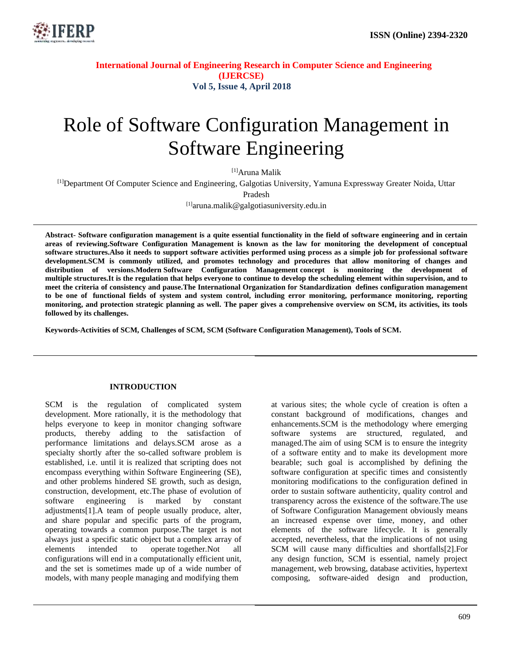

# Role of Software Configuration Management in Software Engineering

[1]Aruna Malik

[1]Department Of Computer Science and Engineering, Galgotias University, Yamuna Expressway Greater Noida, Uttar

Pradesh

[1]aruna.malik@galgotiasuniversity.edu.in

**Abstract- Software configuration management is a quite essential functionality in the field of software engineering and in certain areas of reviewing.Software Configuration Management is known as the law for monitoring the development of conceptual software structures.Also it needs to support software activities performed using process as a simple job for professional software development.SCM is commonly utilized, and promotes technology and procedures that allow monitoring of changes and distribution of versions.Modern Software Configuration Management concept is monitoring the development of multiple structures.It is the regulation that helps everyone to continue to develop the scheduling element within supervision, and to meet the criteria of consistency and pause.The International Organization for Standardization defines configuration management to be one of functional fields of system and system control, including error monitoring, performance monitoring, reporting monitoring, and protection strategic planning as well. The paper gives a comprehensive overview on SCM, its activities, its tools followed by its challenges.**

**Keywords-Activities of SCM, Challenges of SCM, SCM (Software Configuration Management), Tools of SCM.**

#### **INTRODUCTION**

SCM is the regulation of complicated system development. More rationally, it is the methodology that helps everyone to keep in monitor changing software products, thereby adding to the satisfaction of performance limitations and delays.SCM arose as a specialty shortly after the so-called software problem is established, i.e. until it is realized that scripting does not encompass everything within Software Engineering (SE), and other problems hindered SE growth, such as design, construction, development, etc.The phase of evolution of software engineering is marked by constant adjustments[1].A team of people usually produce, alter, and share popular and specific parts of the program, operating towards a common purpose.The target is not always just a specific static object but a complex array of elements intended to operate together.Not all configurations will end in a computationally efficient unit, and the set is sometimes made up of a wide number of models, with many people managing and modifying them

at various sites; the whole cycle of creation is often a constant background of modifications, changes and enhancements.SCM is the methodology where emerging software systems are structured, regulated, and managed.The aim of using SCM is to ensure the integrity of a software entity and to make its development more bearable; such goal is accomplished by defining the software configuration at specific times and consistently monitoring modifications to the configuration defined in order to sustain software authenticity, quality control and transparency across the existence of the software.The use of Software Configuration Management obviously means an increased expense over time, money, and other elements of the software lifecycle. It is generally accepted, nevertheless, that the implications of not using SCM will cause many difficulties and shortfalls[2].For any design function, SCM is essential, namely project management, web browsing, database activities, hypertext composing, software-aided design and production,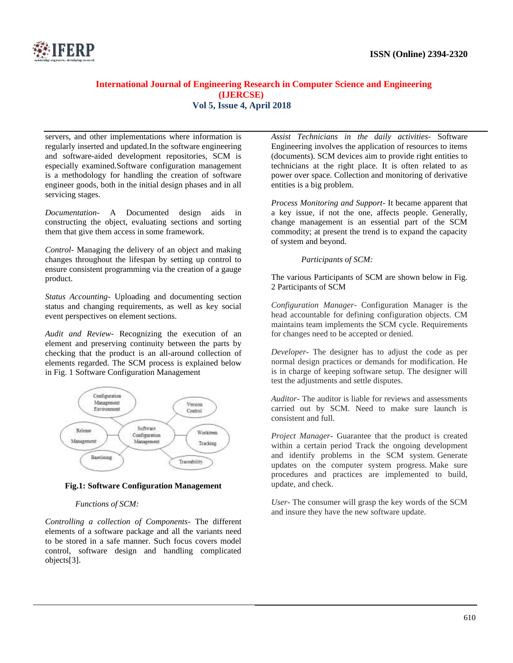

servers, and other implementations where information is regularly inserted and updated.In the software engineering and software-aided development repositories, SCM is especially examined.Software configuration management is a methodology for handling the creation of software engineer goods, both in the initial design phases and in all servicing stages.

*Documentation-* A Documented design aids in constructing the object, evaluating sections and sorting them that give them access in some framework.

*Control-* Managing the delivery of an object and making changes throughout the lifespan by setting up control to ensure consistent programming via the creation of a gauge product.

*Status Accounting-* Uploading and documenting section status and changing requirements, as well as key social event perspectives on element sections.

*Audit and Review-* Recognizing the execution of an element and preserving continuity between the parts by checking that the product is an all-around collection of elements regarded. The SCM process is explained below in Fig. 1 Software Configuration Management



#### **Fig.1: Software Configuration Management**

#### *Functions of SCM:*

*Controlling a collection of Components-* The different elements of a software package and all the variants need to be stored in a safe manner. Such focus covers model control, software design and handling complicated objects[3].

*Assist Technicians in the daily activities-* Software Engineering involves the application of resources to items (documents). SCM devices aim to provide right entities to technicians at the right place. It is often related to as power over space. Collection and monitoring of derivative entities is a big problem.

*Process Monitoring and Support-* It became apparent that a key issue, if not the one, affects people. Generally, change management is an essential part of the SCM commodity; at present the trend is to expand the capacity of system and beyond.

*Participants of SCM:*

The various Participants of SCM are shown below in Fig. 2 Participants of SCM

*Configuration Manager-* Configuration Manager is the head accountable for defining configuration objects. CM maintains team implements the SCM cycle. Requirements for changes need to be accepted or denied.

*Developer*- The designer has to adjust the code as per normal design practices or demands for modification. He is in charge of keeping software setup. The designer will test the adjustments and settle disputes.

*Auditor-* The auditor is liable for reviews and assessments carried out by SCM. Need to make sure launch is consistent and full.

*Project Manager-* Guarantee that the product is created within a certain period Track the ongoing development and identify problems in the SCM system. Generate updates on the computer system progress. Make sure procedures and practices are implemented to build, update, and check.

*User-* The consumer will grasp the key words of the SCM and insure they have the new software update.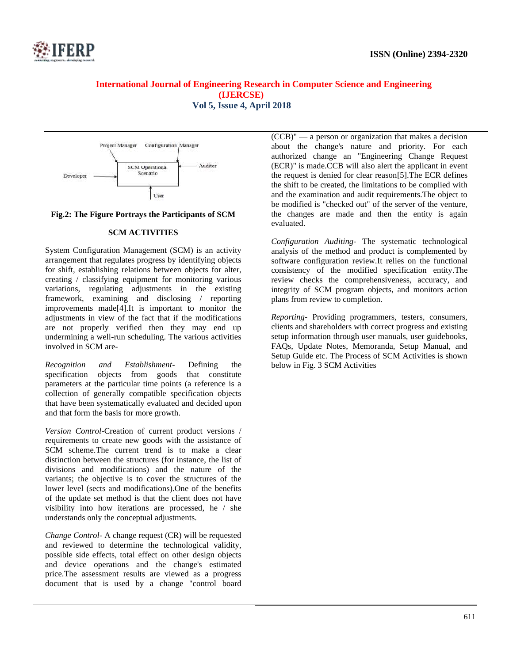

## **International Journal of Engineering Research in Computer Science and Engineering (IJERCSE)**

**Vol 5, Issue 4, April 2018**



#### **Fig.2: The Figure Portrays the Participants of SCM**

#### **SCM ACTIVITIES**

System Configuration Management (SCM) is an activity arrangement that regulates progress by identifying objects for shift, establishing relations between objects for alter, creating / classifying equipment for monitoring various variations, regulating adjustments in the existing framework, examining and disclosing / reporting improvements made[4].It is important to monitor the adjustments in view of the fact that if the modifications are not properly verified then they may end up undermining a well-run scheduling. The various activities involved in SCM are-

*Recognition and Establishment-* Defining the specification objects from goods that constitute parameters at the particular time points (a reference is a collection of generally compatible specification objects that have been systematically evaluated and decided upon and that form the basis for more growth.

*Version Control-*Creation of current product versions / requirements to create new goods with the assistance of SCM scheme.The current trend is to make a clear distinction between the structures (for instance, the list of divisions and modifications) and the nature of the variants; the objective is to cover the structures of the lower level (sects and modifications).One of the benefits of the update set method is that the client does not have visibility into how iterations are processed, he / she understands only the conceptual adjustments.

*Change Control-* A change request (CR) will be requested and reviewed to determine the technological validity, possible side effects, total effect on other design objects and device operations and the change's estimated price.The assessment results are viewed as a progress document that is used by a change "control board

(CCB)" — a person or organization that makes a decision about the change's nature and priority. For each authorized change an "Engineering Change Request (ECR)" is made.CCB will also alert the applicant in event the request is denied for clear reason[5].The ECR defines the shift to be created, the limitations to be complied with and the examination and audit requirements.The object to be modified is "checked out" of the server of the venture, the changes are made and then the entity is again evaluated.

*Configuration Auditing-* The systematic technological analysis of the method and product is complemented by software configuration review.It relies on the functional consistency of the modified specification entity.The review checks the comprehensiveness, accuracy, and integrity of SCM program objects, and monitors action plans from review to completion.

*Reporting-* Providing programmers, testers, consumers, clients and shareholders with correct progress and existing setup information through user manuals, user guidebooks, FAQs, Update Notes, Memoranda, Setup Manual, and Setup Guide etc. The Process of SCM Activities is shown below in Fig. 3 SCM Activities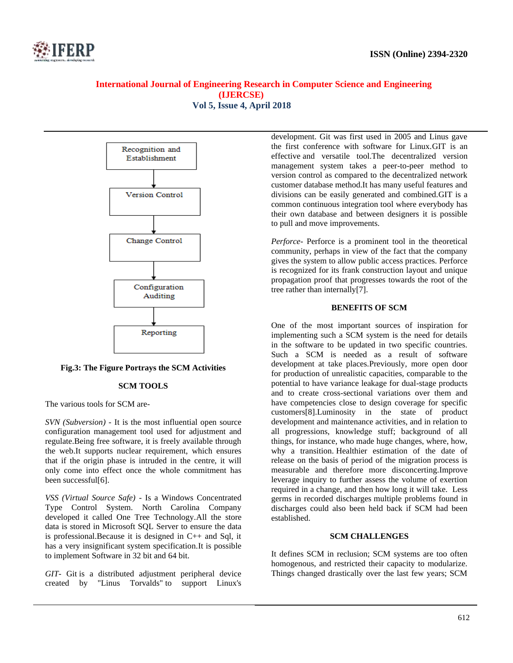



#### **Fig.3: The Figure Portrays the SCM Activities**

#### **SCM TOOLS**

The various tools for SCM are-

*SVN (Subversion)* - It is the most influential open source configuration management tool used for adjustment and regulate.Being free software, it is freely available through the web.It supports nuclear requirement, which ensures that if the origin phase is intruded in the centre, it will only come into effect once the whole commitment has been successful[6].

*VSS (Virtual Source Safe)* - Is a Windows Concentrated Type Control System. North Carolina Company developed it called One Tree Technology.All the store data is stored in Microsoft SQL Server to ensure the data is professional.Because it is designed in C++ and Sql, it has a very insignificant system specification.It is possible to implement Software in 32 bit and 64 bit.

*GIT-* Git is a distributed adjustment peripheral device created by "Linus Torvalds" to support Linux's

development. Git was first used in 2005 and Linus gave the first conference with software for Linux.GIT is an effective and versatile tool.The decentralized version management system takes a peer-to-peer method to version control as compared to the decentralized network customer database method.It has many useful features and divisions can be easily generated and combined.GIT is a common continuous integration tool where everybody has their own database and between designers it is possible to pull and move improvements.

*Perforce-* Perforce is a prominent tool in the theoretical community, perhaps in view of the fact that the company gives the system to allow public access practices. Perforce is recognized for its frank construction layout and unique propagation proof that progresses towards the root of the tree rather than internally[7].

#### **BENEFITS OF SCM**

One of the most important sources of inspiration for implementing such a SCM system is the need for details in the software to be updated in two specific countries. Such a SCM is needed as a result of software development at take places.Previously, more open door for production of unrealistic capacities, comparable to the potential to have variance leakage for dual-stage products and to create cross-sectional variations over them and have competencies close to design coverage for specific customers[8].Luminosity in the state of product development and maintenance activities, and in relation to all progressions, knowledge stuff; background of all things, for instance, who made huge changes, where, how, why a transition. Healthier estimation of the date of release on the basis of period of the migration process is measurable and therefore more disconcerting.Improve leverage inquiry to further assess the volume of exertion required in a change, and then how long it will take. Less germs in recorded discharges multiple problems found in discharges could also been held back if SCM had been established.

#### **SCM CHALLENGES**

It defines SCM in reclusion; SCM systems are too often homogenous, and restricted their capacity to modularize. Things changed drastically over the last few years; SCM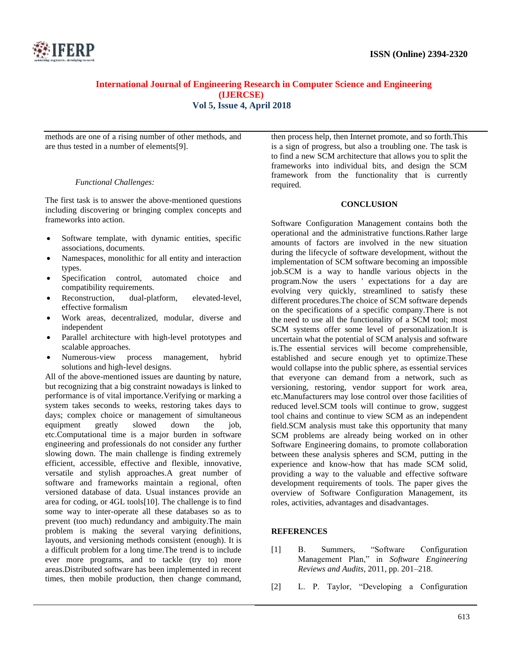

methods are one of a rising number of other methods, and are thus tested in a number of elements[9].

#### *Functional Challenges:*

The first task is to answer the above-mentioned questions including discovering or bringing complex concepts and frameworks into action.

- Software template, with dynamic entities, specific associations, documents.
- Namespaces, monolithic for all entity and interaction types.
- Specification control, automated choice and compatibility requirements.
- Reconstruction, dual-platform, elevated-level, effective formalism
- Work areas, decentralized, modular, diverse and independent
- Parallel architecture with high-level prototypes and scalable approaches.
- Numerous-view process management, hybrid solutions and high-level designs.

All of the above-mentioned issues are daunting by nature, but recognizing that a big constraint nowadays is linked to performance is of vital importance.Verifying or marking a system takes seconds to weeks, restoring takes days to days; complex choice or management of simultaneous equipment greatly slowed down the job, etc.Computational time is a major burden in software engineering and professionals do not consider any further slowing down. The main challenge is finding extremely efficient, accessible, effective and flexible, innovative, versatile and stylish approaches.A great number of software and frameworks maintain a regional, often versioned database of data. Usual instances provide an area for coding, or 4GL tools[10]. The challenge is to find some way to inter-operate all these databases so as to prevent (too much) redundancy and ambiguity.The main problem is making the several varying definitions, layouts, and versioning methods consistent (enough). It is a difficult problem for a long time.The trend is to include ever more programs, and to tackle (try to) more areas.Distributed software has been implemented in recent times, then mobile production, then change command,

then process help, then Internet promote, and so forth.This is a sign of progress, but also a troubling one. The task is to find a new SCM architecture that allows you to split the frameworks into individual bits, and design the SCM framework from the functionality that is currently required.

#### **CONCLUSION**

Software Configuration Management contains both the operational and the administrative functions.Rather large amounts of factors are involved in the new situation during the lifecycle of software development, without the implementation of SCM software becoming an impossible job.SCM is a way to handle various objects in the program.Now the users ' expectations for a day are evolving very quickly, streamlined to satisfy these different procedures.The choice of SCM software depends on the specifications of a specific company.There is not the need to use all the functionality of a SCM tool; most SCM systems offer some level of personalization.It is uncertain what the potential of SCM analysis and software is.The essential services will become comprehensible, established and secure enough yet to optimize.These would collapse into the public sphere, as essential services that everyone can demand from a network, such as versioning, restoring, vendor support for work area, etc.Manufacturers may lose control over those facilities of reduced level.SCM tools will continue to grow, suggest tool chains and continue to view SCM as an independent field.SCM analysis must take this opportunity that many SCM problems are already being worked on in other Software Engineering domains, to promote collaboration between these analysis spheres and SCM, putting in the experience and know-how that has made SCM solid, providing a way to the valuable and effective software development requirements of tools. The paper gives the overview of Software Configuration Management, its roles, activities, advantages and disadvantages.

#### **REFERENCES**

- [1] B. Summers, "Software Configuration Management Plan," in *Software Engineering Reviews and Audits*, 2011, pp. 201–218.
- [2] L. P. Taylor, "Developing a Configuration